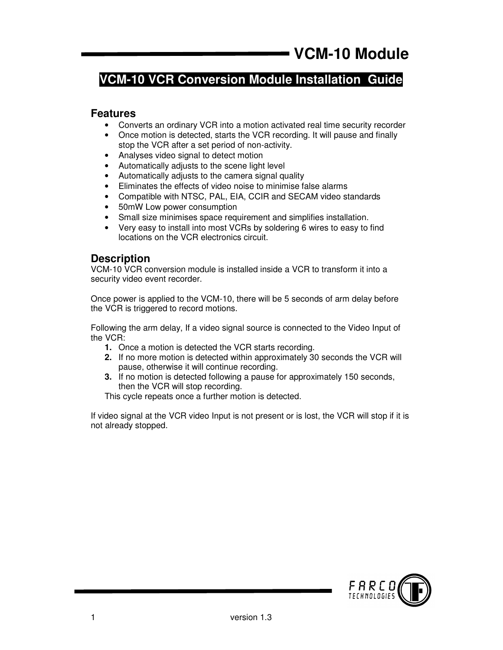# **VCM-10 VCR Conversion Module Installation Guide**

#### **Features**

- Converts an ordinary VCR into a motion activated real time security recorder
- Once motion is detected, starts the VCR recording. It will pause and finally stop the VCR after a set period of non-activity.
- Analyses video signal to detect motion
- Automatically adjusts to the scene light level
- Automatically adjusts to the camera signal quality
- Eliminates the effects of video noise to minimise false alarms
- Compatible with NTSC, PAL, EIA, CCIR and SECAM video standards
- 50mW Low power consumption
- Small size minimises space requirement and simplifies installation.
- Very easy to install into most VCRs by soldering 6 wires to easy to find locations on the VCR electronics circuit.

#### **Description**

VCM-10 VCR conversion module is installed inside a VCR to transform it into a security video event recorder.

Once power is applied to the VCM-10, there will be 5 seconds of arm delay before the VCR is triggered to record motions.

Following the arm delay, If a video signal source is connected to the Video Input of the VCR:

- **1.** Once a motion is detected the VCR starts recording.
- **2.** If no more motion is detected within approximately 30 seconds the VCR will pause, otherwise it will continue recording.
- **3.** If no motion is detected following a pause for approximately 150 seconds, then the VCR will stop recording.

This cycle repeats once a further motion is detected.

If video signal at the VCR video Input is not present or is lost, the VCR will stop if it is not already stopped.

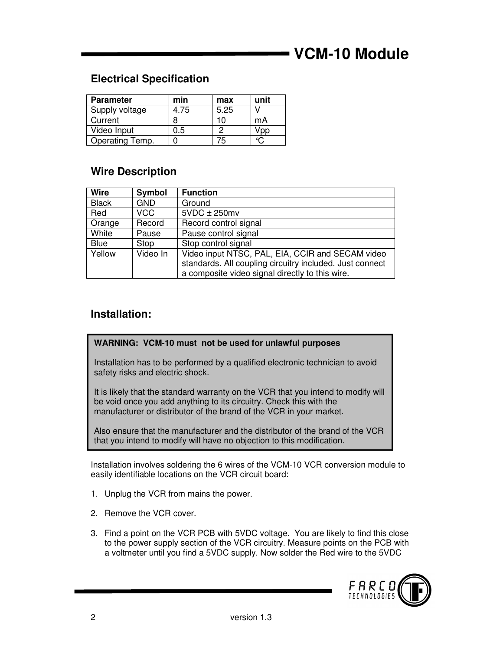# **VCM-10 Module**

## **Electrical Specification**

| <b>Parameter</b> | min  | max  | unit |
|------------------|------|------|------|
| Supply voltage   | 4.75 | 5.25 |      |
| Current          |      | 10   | mA   |
| Video Input      | 0.5  | Ω    |      |
| Operating Temp.  |      |      |      |

### **Wire Description**

| <b>Wire</b>  | Symbol     | <b>Function</b>                                                                                                                                                 |
|--------------|------------|-----------------------------------------------------------------------------------------------------------------------------------------------------------------|
| <b>Black</b> | <b>GND</b> | Ground                                                                                                                                                          |
| Red          | VCC        | $5VDC \pm 250mv$                                                                                                                                                |
| Orange       | Record     | Record control signal                                                                                                                                           |
| White        | Pause      | Pause control signal                                                                                                                                            |
| Blue         | Stop       | Stop control signal                                                                                                                                             |
| Yellow       | Video In   | Video input NTSC, PAL, EIA, CCIR and SECAM video<br>standards. All coupling circuitry included. Just connect<br>a composite video signal directly to this wire. |

### **Installation:**

#### **WARNING: VCM-10 must not be used for unlawful purposes**

Installation has to be performed by a qualified electronic technician to avoid safety risks and electric shock.

It is likely that the standard warranty on the VCR that you intend to modify will be void once you add anything to its circuitry. Check this with the manufacturer or distributor of the brand of the VCR in your market.

Also ensure that the manufacturer and the distributor of the brand of the VCR that you intend to modify will have no objection to this modification.

Installation involves soldering the 6 wires of the VCM-10 VCR conversion module to easily identifiable locations on the VCR circuit board:

- 1. Unplug the VCR from mains the power.
- 2. Remove the VCR cover.
- 3. Find a point on the VCR PCB with 5VDC voltage. You are likely to find this close to the power supply section of the VCR circuitry. Measure points on the PCB with a voltmeter until you find a 5VDC supply. Now solder the Red wire to the 5VDC